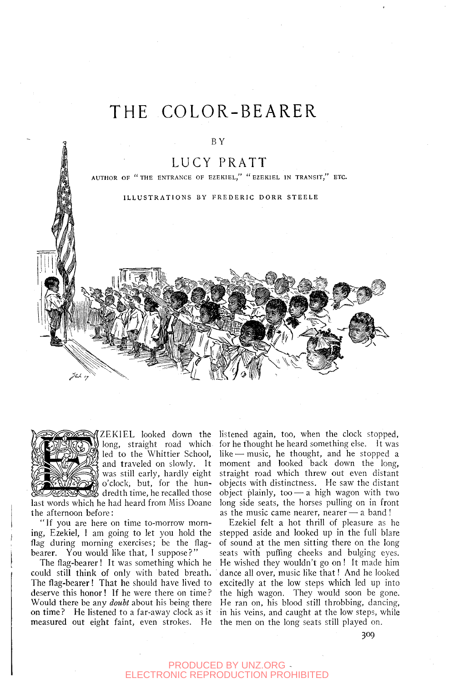# THE COLOR-BEARER

#### BY

### LUCY PRATT

AUTHOR OF "THE ENTRANCE OF EZEKIEL," "EZEKIEL IN TRANSIT," ETC.

ILLUSTRATIONS BY FREDERIC DORR STEELE





ZEKIEL looked down the long, straight road which led to the Whittier School, and traveled on slowly. It was still early, hardly eight o'clock, but, for the hun- $\%$  dredth time, he recalled those

last words which he had heard from Miss Doane the afternoon before:

"If you are here on time to-morrow morning, Ezekiel, 1 am going to let you hold the flag during morning exercises; be the flagbearer. You would like that, I suppose?"

The flag-bearer! It was something which he could still think of only with bated breath. The flag-bearer! That he should have lived to deserve this honor! If he were there on time? Would there be any *doubt* about his being there measured out eight faint, even strokes. He the men on the long seats still played on.

listened again, too, when the clock stopped, for he thought he heard something else. It was like  $-$  music, he thought, and he stopped a moment and looked back down the long, straight road which threw out even distant objects with distinctness. He saw the distant object plainly, too  $-$  a high wagon with two long side seats, the horses pulling on in front as the music came nearer, nearer — a band !

on time? He listened to a far-away clock as it in his veins, and caught at the low steps, while Ezekiel felt a hot thrill of pleasure as he stepped aside and looked up in the full blare of sound at the men sitting there on the long seats with puffing cheeks and bulging eyes. He wished they Wouldn't go on ! It made him dance all over, music like that! And he looked excitedly at the low steps which led up into the high wagon. They would soon be gone. He ran on, his blood still throbbing, dancing,

309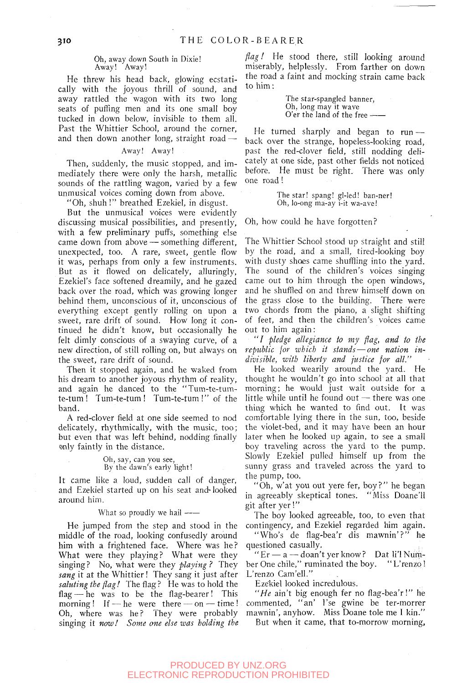#### Oh, away down South in Dixie! Away! Away!

He threw his head back, glowing ecstatically with the joyous thrill of sound, and away rattled the wagon with its two long seats of puffing men and its one small boy tucked in down below, invisible to them all. Past the Whittier School, around the corner, and then down another long, straight road  $-$ 

#### Away! Away!

Then, suddenly, the music stopped, and immediately there were only the harsh, metallic sounds of the rattling wagon, varied by a few unmusical voices coming down from above.

"Oh, shuh!" breathed Ezekiel, in disgust.

But the unmusical voices were evidently discussing musical possibilities, and presently, with a few preliminary puffs, something else came down from above — something different, unexpected, too. A rare, sweet, gentle flow it was, perhaps from only a few instruments. But as it flowed on delicately, alluringly, Ezekiel's face softened dreamily, and he gazed back over the road, which was growing longer behind them, unconscious of it, unconscious of everything except gently rolling on upon a sweet, rare drift of sound. How long it continued he didn't know, but occasionally he felt dimly conscious of a swaying curve, of a new direction, of still rolling on, but always on the sweet, rare drift of sound.

Then it stopped again, and he waked from his dream to another joyous rhythm of reality, and again he danced to the "Tum-te-tumte-tum ! Tum-te-tum I Tum-te-tum!" of the band.

A red-clover field at one side seemed to nod delicately, rhythmically, with the music, too; but even that was left behind, nodding finally only faintly in the distance.

#### Oh, say, can you see. By the dawn's early hght!

It came like a loud, sudden call of danger, and Ezekiel started up on his seat and looked around him.

#### What so proudly we hail  $\leftarrow$

He jumped from the step and stood in the middle of the road, looking confusedly around him with a frightened face. Where was he? What were they playing? What were they singing ? No, what were they *playing ?* They sang it at the Whittier! They sang it just after *saluting the flag!* The flag? He was to hold the flag — he was to be the flag-bearer! This morning ! If — he were there — on — time ! Oh, where was he? They were probably singing it *now! Some one else was holding the* 

*flag!* He stood there, still looking around miserably, helplessly. From farther on down the road a faint and mocking strain came back to him:

> The star-spangled banner. Oh, long may it wave O'er the land of the free

He turned sharply and began to run  $$ back over the strange, hopeless-looking road, past the red-clover field, still nodding delicately at one side, past other fields not noticed before. He must be right. There was only one road !

> The star! spang! gl-led! ban-ner! Oh, lo-ong ma-ay i-it wa-ave!

Oh, how could he have forgotten?

The Whittier School stood up straight and stil! by the road, and a small, tired-looking boy with dusty shoes came shuffling into the yard. The sound of the children's voices singing came out to him through the open windows, and he shuffled on and threw himself down on the grass close to the building. There were two chords from the piano, a slight shifting of feet, and then the children's voices came out to him again:

" / *pledge allegiance to my flag, and to the republic for which it stands* — *one nation indivisible, with liberty and justice for all."* 

He looked wearily around the yard. He thought he wouldn't go into school at all that morning; he would just wait outside for a little while until he found out — there was one thing which he wanted to find out. It was comfortable lying there in the sun, too, beside the violet-bed, and it may have been an hour later when he looked up again, to see a small boy traveling across the yard to the pump. Slowly Ezekiel pulled himself up from the sunny grass and traveled across the yard to the pump, too.

"Oh, w'at you out yere fer, boy?" he began in agreeably skeptical tones. "Miss Doane'll git after yer!"

The boy looked agreeable, too, to even that contingency, and Ezekiel regarded him again.

"Who's de flag-bea'r dis mawnin'?" he questioned casually.

" $Er - a - doan't$  yer know? Dat li'l Number One chile," ruminated the boy. "L'renzo ! L'renzo Cam'ell."

Ezekiel looked incredulous.

*"He* ain't big enough fer no flag-bea'r!" he commented, "an' I'se gwine be ter-morrer mawnin', anyhow. Miss Doane tole me I kin." But when it came, that to-morrow morning.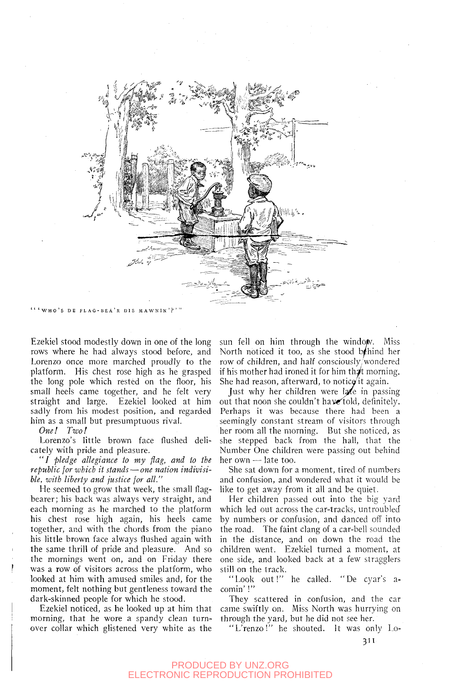

'WHO' S DE FLAG-BEA' R Dis MAWNIN'?' "

Ezekiel stood modestly down in one of the long rows where he had always stood before, and Lorenzo once more marched proudly to the platform. His chest rose high as he grasped the long pole which rested on the floor, his small heels came together, and he felt very straight and large. Ezekiel looked at him sadly from his modest position, and regarded him as a small but presumptuous rival.

*One! Two!* 

Lorenzo's little brown face flushed delicately with pride and pleasure.

" / *pledge allegiance to my flag, and to the republic for which it stands*—*one nation indivisible, with liberty and justice for all."* 

He seemed to grow that week, the small flagbearer; his back was always very straight, and each morning as he marched to the platform his chest rose high again, his heels came together, and with the chords from the piano his little brown face always flushed again with the same thrill of pride and pleasure. And so the mornings went on, and on Friday there was a row of visitors across the platform, who looked at him with amused smiles and, for the moment, felt nothing but gentleness toward the dark-skinned people for which he stood.

Ezekiel noticed, as he looked up at him that morning, that he wore a spandy clean turnover collar which glistened very white as the sun fell on him through the window. Miss North noticed it too, as she stood b/hind her row of children, and half consciously/wondered if his mother had ironed it for him that morning. She had reason, afterward, to notice'it again.

Just why her children were  $l$ a in passing out that noon she couldn't have told, definitely. Perhaps it was because there had been a seemingly constant stream of visitors through her room all the morning. But she noticed, as she stepped back from the hall, that the Number One children were passing out behind her  $own$ — late too.

She sat down for a moment, tired of numbers and confusion, and wondered what it would be like to get away from it all and be quiet.

Her children passed out into the big yard which led out across the car-tracks, untroubled by numbers or confusion, and danced off into the road. The faint clang of a car-bell sounded in the distance, and on down the road the children went. Ezekiel turned a moment, at one side, and looked back at a few stragglers still on the track.

"Look out!" he called. "De cyar's acomin'!"

They scattered in confusion, and the car came swiftly on. Miss North was hurrying on through the yard, but he did not see her.

"L'renzo!" he shouted. It was only Lo-

3'i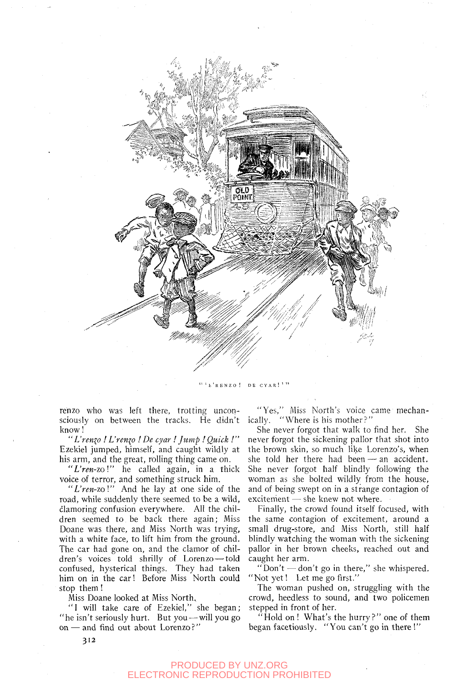

RENZO! DE CYAR!'"

renzo who was left there, trotting unconsciously on between the tracks. He didn't know!

" *L'renzo I L'renio ! De cyar ! Jump ! Quick !"*  Ezekiel jumped, himself, and caught wildly at his arm, and the great, rolling thing came on.

*"L'ren-zol"* he called again, in a thick voice of terror, and something struck him.

"L'ren-zo!" And he lay at one side of the road, while suddenly there seemed to be a wild, clamoring confusion everywhere. All the children seemed to be back there again; Miss Doane was there, and Miss North was trying, with a white face, to lift him from the ground. The car had gone on, and the clamor of children's voices told shrilly of Lorenzo — told confused, hysterical things. They had taken him on in the car! Before Miss North could stop them!

Miss Doane looked at Miss North,

"1 will take care of Ezekiel," she began; "he isn't seriously hurt. But you — will you go on — and find out about Lorenzo?"

"Yes," Miss North's voice came mechanically. "Where is his mother?"

She never forgot that walk to find her. She never forgot the sickening pallor that shot into the brown skin, so much like Lorenzo's, when she told her there had been — an accident. She never forgot half blindly following the woman as she bolted wildly from the house, and of being swept on in a strange contagion of excitement — she knew not where.

Finally, the crowd found itself focused, with the same contagion of excitement, around a small drug-store, and Miss North, still half blindly watching the woman with the sickening pallor in her brown cheeks, reached out and caught her arm.

"Don't — don't go in there," she whispered. "Not yet! Let me go first."

The woman pushed on, struggling with the crowd, heedless to sound, and two policemen stepped in front of her.

"Hold on ! What's the hurry?" one of them began facetiously. "You can't go in there !"

312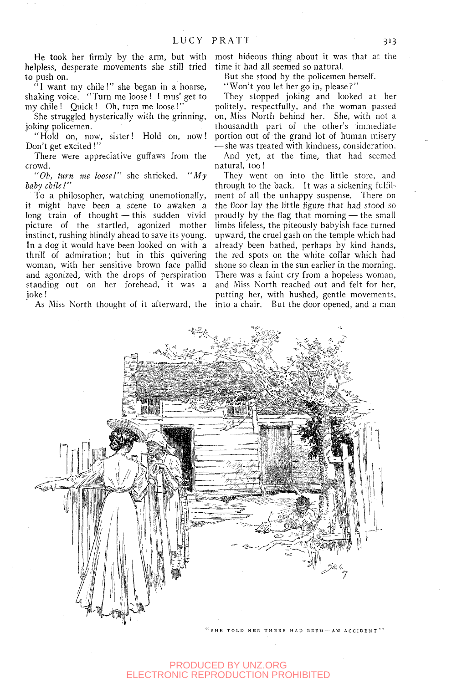**He took** her firmly by the arm, but with helpless, desperate movements she still tried to push on.

"1 want my chile!" she began in a hoarse, shaking voice. "Turn me loose ! 1 mus' get to my chile ! Quick ! Oh, turn me loose *I"* 

She struggled hysterically with the grinning, joking policemen.

"Hold on, now, sister! Hold on, now! Don't get excited!"

There were appreciative guffaws from the crowd.

*"Oh, turn me loose!"* she shrieked. *"My toby chile!"* 

To a philosopher, watching unemotionally, it might have been a scene to awaken a long train of thought — this sudden vivid picture of the startled, agonized mother instinct, rushing blindly ahead to save its young. In a dog it would have been looked on with a thrill of admiration; but in this quivering woman, with her sensitive brown face pallid and agonized, with the drops of perspiration standing out on her forehead, it was a joke!

As Miss North thought of it afterward, the

most hideous thing about it was that at the time it had all seemed so natural.

But she stood by the policemen herself.

"Won't you let her go in, please?"

They stopped joking and looked at her politely, respectfully, and the woman passed on. Miss North behind her. She, with not a thousandth part of the other's immediate portion out of the grand lot of human misery — she was treated with kindness, consideration.

And yet, at the time, that had seemed natural, too!

They went on into the little store, and through to the back. It was a sickening fulfilment of all the unhappy suspense. There on the floor lay the little figure that had stood so proudly by the flag that morning — the small limbs lifeless, the piteously babyish face turned upward, the cruel gash on the temple which had already been bathed, perhaps by kind hands, the red spots on the white collar which had shone so clean in the sun earlier in the morning. There was a faint cry from a hopeless woman, and Miss North reached out and felt for her, putting her, with hushed, gentle movements, into a chair. But the door opened, and a man



TOLD HER THERE HAD BEEN-AN ACCIDENT''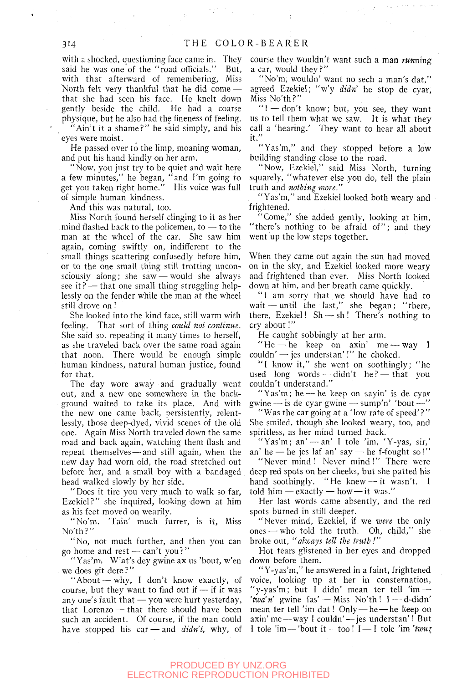with a shocked, questioning face came in. They said he was one of the "road officials." But, with that afterward of remembering. Miss North felt very thankful that he did come that she had seen his face. He knelt down gently beside the child. He had a coarse physique, but he also had the fineness of feeling. 'Ain't it a shame?" he said simply, and his

eyes were moist.

He passed over to the limp, moaning woman, and put his hand kindly on her arm.

"Now, you just try to be quiet and wait here a few minutes," he began, "and I'm going to get you taken right home." His voice was full of simple human kindness.

And this was natural, too.

Miss North found herself clinging to it as her mind flashed back to the policemen, to — to the man at the wheel of the car. She saw him again, coming swiftly on, indifferent to the small things scattering confusedly before him, or to the one small thing still trotting unconsciously along; she saw — would she always see it ? — that one small thing struggling helplessly on the fender while the man at the wheel still drove on !

She looked into the kind face, still warm with feeling. That sort of thing *could not continue.*  She said so, repeating it many times to herself, as she traveled back over the same road again that noon. There would be enough simple human kindness, natural human justice, found for that.

The day wore away and gradually went out, and a new one somewhere in the background waited to take its place. And with the new one came back, persistently, relentlessly, those deep-dyed, vivid scenes of the old one. Again Miss North traveled down the same road and back again, watching them flash and repeat themselves — and still again, when the new day had worn old, the road stretched out before her, and a small boy with a bandaged head walked slowly by her side.

"Does it tire you very much to walk so far, Ezekiel?" she inquired, looking down at him as his feet moved on wearily.

"No'm. 'Tain' much furrer, is it. Miss No'th?"

"No, not much further, and then you can go home and rest — can't you? "

" Yas'm. W'at's dey gwine ax us 'bout, w'en we does git dere?'

"About — why, I don't know exactly, of course, but they want to find out if  $-$  if it was any one's fault that — you were hurt yesterday, that Lorenzo — that there should have been such an accident. Of course, if the man could have stopped his car — and *didn't,* why, of

course they wouldn't want such a man *runmng*  a car, would they?"

"No'm, wouldn' want no sech a man's dat," agreed Ezekiel; "w'y didn' he stop de cyar. Miss No'th?"

 $T-d$ on't know; but, you see, they want us to tell them what we saw. It is what they call a 'hearing.' They want to hear all about it."

"Yas'm," and they stopped before a low building standing close to the road.

"Now, Ezekiel," said Miss North, turning squarely, "whatever else you do, tell the plain truth and *nothing more."* 

"Yas'm," and Ezekiel looked both weary and frightened.

"Come," she added gently, looking at him, "there's nothing to be afraid of"; and they went up the low steps together.

When they came out again the sun had moved on in the sky, and Ezekiel looked more weary and frightened than ever. Miss North looked down at him, and her breath came quickly.

" I am sorry that we should have had to wait — until the last," she began; "there, there, Ezekiel!  $Sh - sh!$  There's nothing to cry about!"

He caught sobbingly at her arm.

"He — he keep on axin' me — way I couldn' — jes understan'!" he choked.

"I know it," she went on soothingly; "he used long words — didn't he? — that you couldn't understand."

"Yas'm; he — he keep on sayin' is de cyar gwine — is de cyar gwine — sump'n' 'bout —

"Was the car going at a 'low rate of speed'?" She smiled, though she looked weary, too, and spiritless, as her mind turned back.

"Yas'm; an' — an' I tole 'im, 'Y-yas, sir,' an' he — he jes laf an' say — he f-fought so !" "Never mind! Never mind!" There were deep red spots on her cheeks, but she patted his hand soothingly. "He knew—it wasn't. I told him — exactly — how—it was."

Her last words came absently, and the red spots burned in still deeper.

"Never mind, Ezekiel, if we *were* the only ones — who told the truth. Oh, child," she broke out, *"always tell the truth!"* 

Hot tears glistened in her eyes and dropped down before them.

" Y-yas'm," he answered in a faint, frightened voice, looking up at her in consternation, "y-yas'm; but I didn' mean ter tell 'im — 'twa'n' gwine fas' — Miss No'th!  $I$  — d-didn' mean ter tell 'im dat! Only — he — he keep on axin'me—way 1 couldn' — jes understan'! But I tole 'im - 'bout it - too!  $I - I$  tole 'im 'twuz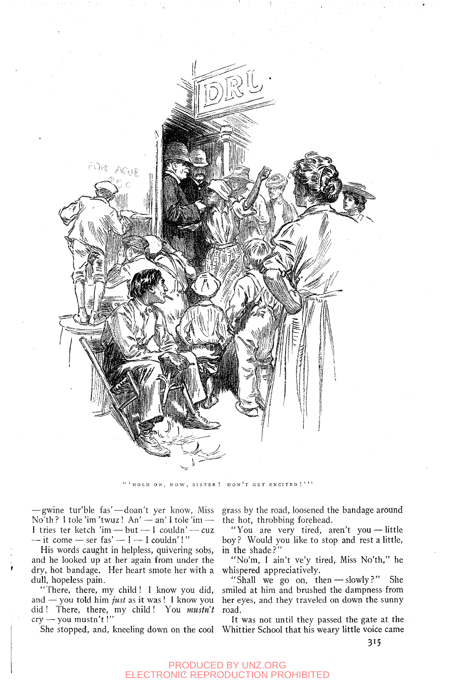

"'HOLD ON, NOW, SISTER ! DON'T GET EXCITED!'''

— gwine tur'ble fas'—doan't yer know, Miss  $\text{No'}\text{th}$ ? I tole 'im 'twuz! An' — an' I tole 'im — I tries ter ketch 'im — but — I couldn' — cuz  $-$  it come  $-$  ser fas'  $-1$   $-$  I couldn'!"

His words caught in helpless, quivering sobs, and he looked up at her again from under the dry, hot bandage. Her heart smote her with a dull, hopeless pain.

"There, there, my child! 1 know you did, and — you told him *just* as it was! I know you did! There, there, my child! You *mustn't cry* — you mustn't!"

grass by the road, loosened the bandage around the hot, throbbing forehead.

"You are very tired, aren't you — little boy ? Would you like to stop and rest a little, in the shade?"

"No'm, I ain't ve'y tired. Miss No'th," he whispered appreciatively.

"Shall we go on, then — slowly?" She smiled at him and brushed the dampness from her eyes, and they traveled on down the sunny road.

She stopped, and, kneeling down on the cool Whittier School that his weary little voice came It was not until they passed the gate at the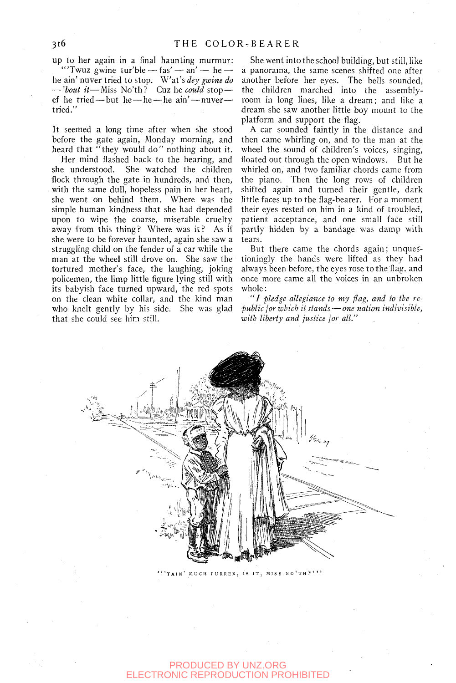up to her again in a final haunting murmur: "Twuz gwine tur'ble  $-\text{fas}' - \text{an}' - \text{he}$ he ain' nuver tried to stop. Wat's *dey gwine do*  — *'hout it*—Miss No'th? Cuz he *could* stop ef he tried — but he—he — he ain' — nuver tried."

It seemed a long time after when she stood before the gate again, Monday morning, and heard that "they would do" nothing about it.

Her mind flashed back to the hearing, and she understood. She watched the children flock through the gate in hundreds, and then, with the same dull, hopeless pain in her heart, she went On behind them. Where was the simple human kindness that she had depended upon to wipe the coarse, miserable cruelty away from this thing? Where was it? As if she were to be forever haunted, again she saw a struggling child on the fender of a car while the man at the wheel still drove on. She saw the tortured mother's face, the laughing, joking policemen, the limp little figure lying still with its babyish face turned upward, the red spots on the clean white collar, and the kind man who knelt gently by his side. She was glad that she could see him still.

She went into the school building, but still, like a panorama, the same scenes shifted one after another before her eyes. The bells sounded, the children marched into the assemblyroom in long lines, like a dream; and like a dream she saw another little boy mount to the platform and support the flag.

A car sounded faintly in the distance and then came whirling on, and to the man at the wheel the sound of children's voices, singing, floated out through the open windows. But he whirled on, and two familiar chords came from the piano. Then the long rows of children shifted again and turned their gentle, dark little faces up to the flag-bearer. For a moment their eyes rested on him in a kind of troubled, patient acceptance, and one small face still partly hidden by a bandage was damp with tears.

But there came the chords again; unquestioningly the hands were lifted as they had always been before, the eyes rose to the flag, and once more came all the voices in an unbroken whole:

" / *pledge allegiance to my flag, and to the republic for which it stands — one nation indivisible, with liberty and justice for all."* 



MUCH FURRER, IS IT, MISS NO'TH?'''